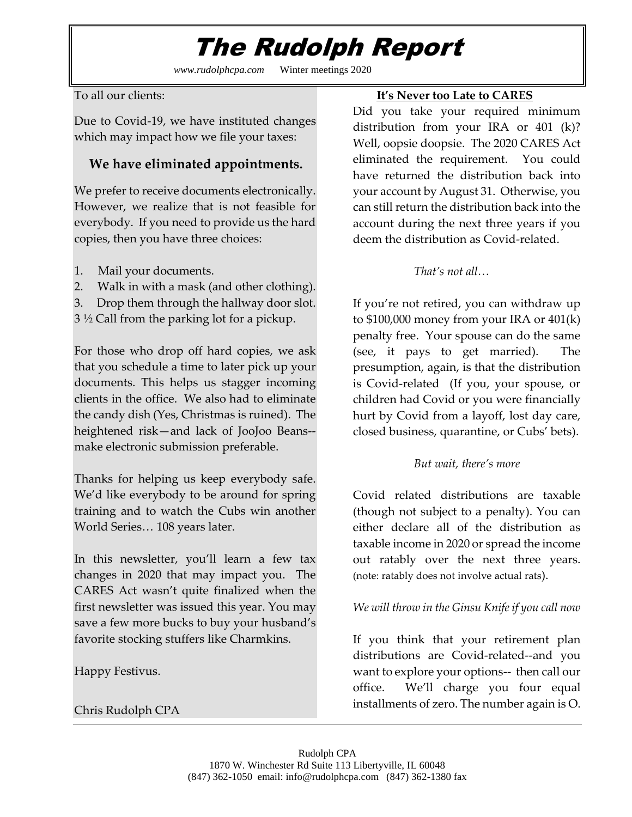# The Rudolph Report

*www.rudolphcpa.com* Winter meetings 2020

To all our clients:

Due to Covid-19, we have instituted changes which may impact how we file your taxes:

# **We have eliminated appointments.**

We prefer to receive documents electronically. However, we realize that is not feasible for everybody. If you need to provide us the hard copies, then you have three choices:

- 1. Mail your documents.
- 2. Walk in with a mask (and other clothing).
- 3. Drop them through the hallway door slot.

3 ½ Call from the parking lot for a pickup.

For those who drop off hard copies, we ask that you schedule a time to later pick up your documents. This helps us stagger incoming clients in the office. We also had to eliminate the candy dish (Yes, Christmas is ruined). The heightened risk—and lack of JooJoo Beans- make electronic submission preferable.

Thanks for helping us keep everybody safe. We'd like everybody to be around for spring training and to watch the Cubs win another World Series… 108 years later.

In this newsletter, you'll learn a few tax changes in 2020 that may impact you. The CARES Act wasn't quite finalized when the first newsletter was issued this year. You may save a few more bucks to buy your husband's favorite stocking stuffers like Charmkins.

Happy Festivus.

Chris Rudolph CPA

### **It's Never too Late to CARES**

Did you take your required minimum distribution from your IRA or 401 (k)? Well, oopsie doopsie. The 2020 CARES Act eliminated the requirement. You could have returned the distribution back into your account by August 31. Otherwise, you can still return the distribution back into the account during the next three years if you deem the distribution as Covid-related.

# *That's not all…*

If you're not retired, you can withdraw up to \$100,000 money from your IRA or 401(k) penalty free. Your spouse can do the same (see, it pays to get married). The presumption, again, is that the distribution is Covid-related (If you, your spouse, or children had Covid or you were financially hurt by Covid from a layoff, lost day care, closed business, quarantine, or Cubs' bets).

# *But wait, there's more*

Covid related distributions are taxable (though not subject to a penalty). You can either declare all of the distribution as taxable income in 2020 or spread the income out ratably over the next three years. (note: ratably does not involve actual rats).

# *We will throw in the Ginsu Knife if you call now*

If you think that your retirement plan distributions are Covid-related--and you want to explore your options-- then call our office. We'll charge you four equal installments of zero. The number again is O.